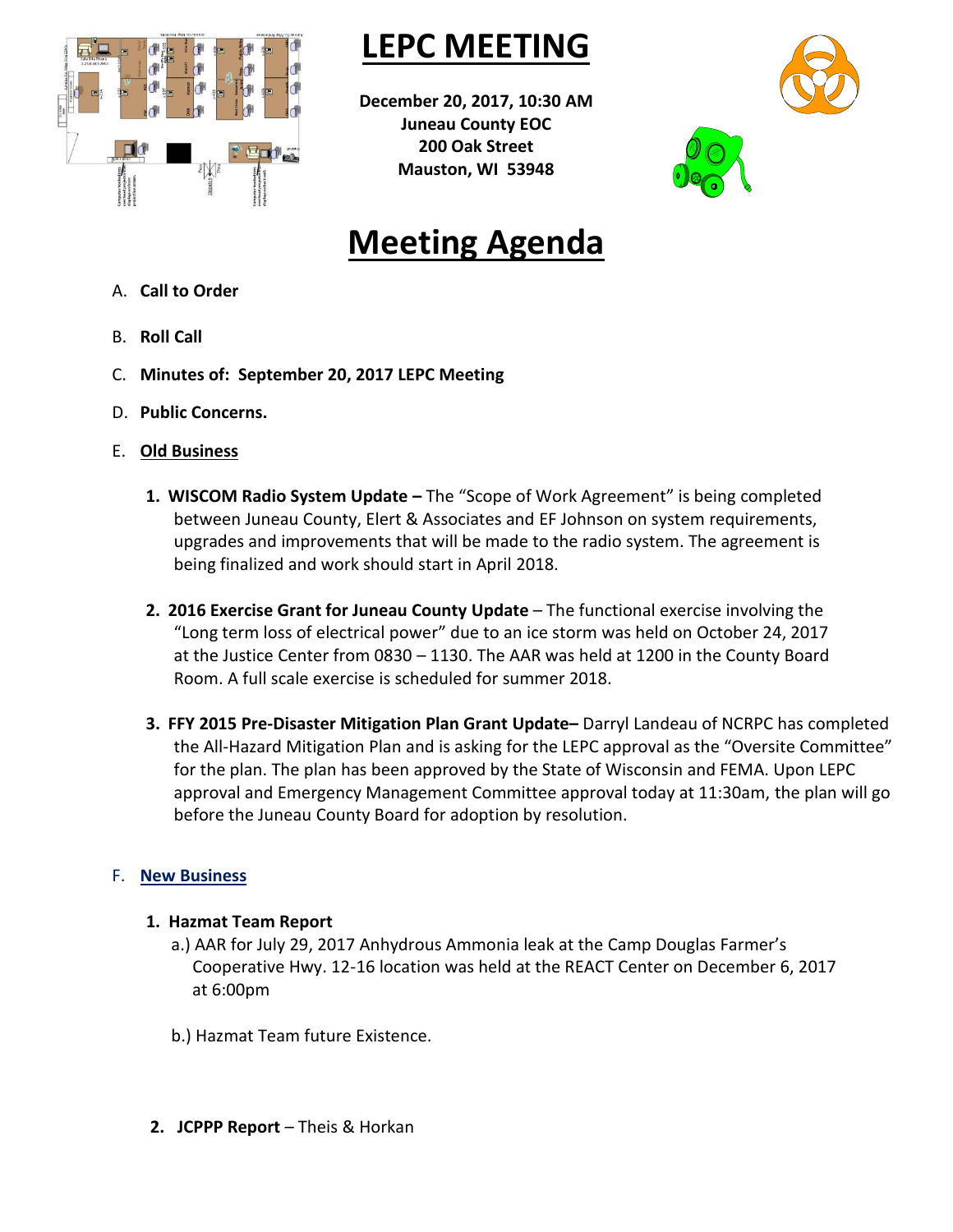

**LEPC MEETING**

**December 20, 2017, 10:30 AM Juneau County EOC 200 Oak Street Mauston, WI 53948**





## **Meeting Agenda**

- A. **Call to Order**
- B. **Roll Call**
- C. **Minutes of: September 20, 2017 LEPC Meeting**
- D. **Public Concerns.**
- E. **Old Business**
	- **1. WISCOM Radio System Update –** The "Scope of Work Agreement" is being completed between Juneau County, Elert & Associates and EF Johnson on system requirements, upgrades and improvements that will be made to the radio system. The agreement is being finalized and work should start in April 2018.
	- **2. 2016 Exercise Grant for Juneau County Update** The functional exercise involving the "Long term loss of electrical power" due to an ice storm was held on October 24, 2017 at the Justice Center from 0830 – 1130. The AAR was held at 1200 in the County Board Room. A full scale exercise is scheduled for summer 2018.
	- **3. FFY 2015 Pre-Disaster Mitigation Plan Grant Update–** Darryl Landeau of NCRPC has completed the All-Hazard Mitigation Plan and is asking for the LEPC approval as the "Oversite Committee" for the plan. The plan has been approved by the State of Wisconsin and FEMA. Upon LEPC approval and Emergency Management Committee approval today at 11:30am, the plan will go before the Juneau County Board for adoption by resolution.

## F. **New Business**

## **1. Hazmat Team Report**

- a.) AAR for July 29, 2017 Anhydrous Ammonia leak at the Camp Douglas Farmer's Cooperative Hwy. 12-16 location was held at the REACT Center on December 6, 2017 at 6:00pm
- b.) Hazmat Team future Existence.
- **2. JCPPP Report** Theis & Horkan